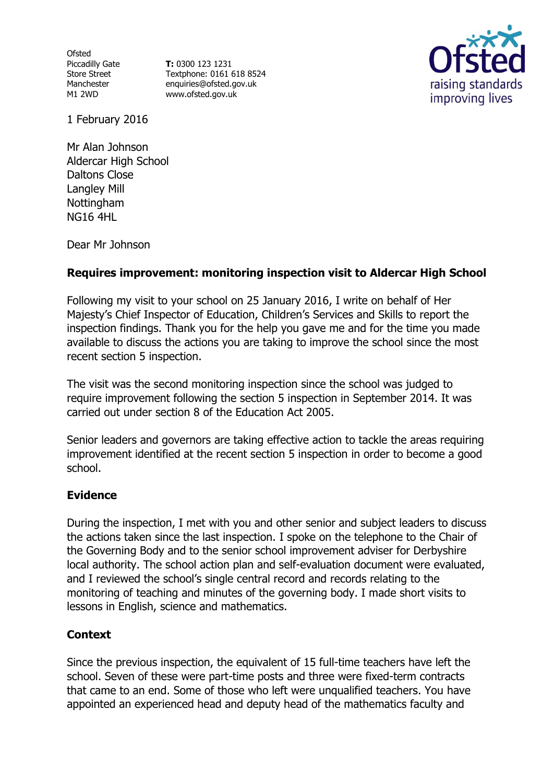Ofsted Piccadilly Gate Store Street Manchester M1 2WD

**T:** 0300 123 1231 Textphone: 0161 618 8524 enquiries@ofsted.gov.uk www.ofsted.gov.uk



1 February 2016

Mr Alan Johnson Aldercar High School Daltons Close Langley Mill Nottingham NG16 4HL

Dear Mr Johnson

# **Requires improvement: monitoring inspection visit to Aldercar High School**

Following my visit to your school on 25 January 2016, I write on behalf of Her Majesty's Chief Inspector of Education, Children's Services and Skills to report the inspection findings. Thank you for the help you gave me and for the time you made available to discuss the actions you are taking to improve the school since the most recent section 5 inspection.

The visit was the second monitoring inspection since the school was judged to require improvement following the section 5 inspection in September 2014. It was carried out under section 8 of the Education Act 2005.

Senior leaders and governors are taking effective action to tackle the areas requiring improvement identified at the recent section 5 inspection in order to become a good school.

### **Evidence**

During the inspection, I met with you and other senior and subject leaders to discuss the actions taken since the last inspection. I spoke on the telephone to the Chair of the Governing Body and to the senior school improvement adviser for Derbyshire local authority. The school action plan and self-evaluation document were evaluated, and I reviewed the school's single central record and records relating to the monitoring of teaching and minutes of the governing body. I made short visits to lessons in English, science and mathematics.

### **Context**

Since the previous inspection, the equivalent of 15 full-time teachers have left the school. Seven of these were part-time posts and three were fixed-term contracts that came to an end. Some of those who left were unqualified teachers. You have appointed an experienced head and deputy head of the mathematics faculty and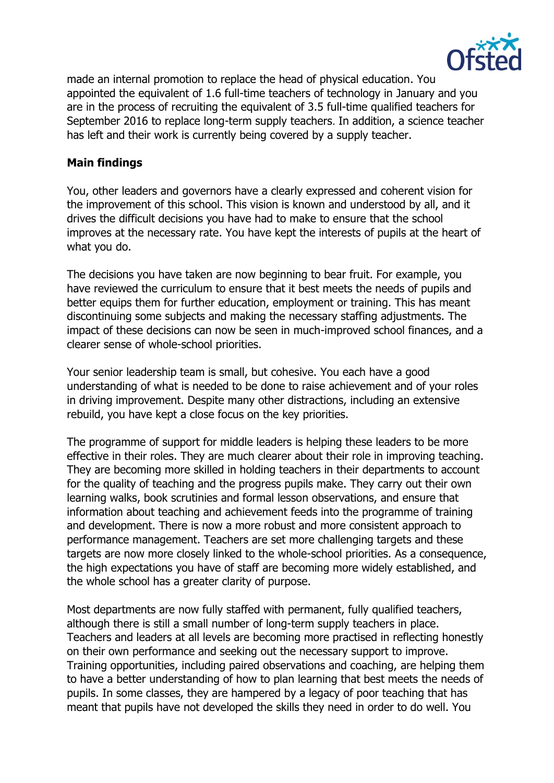

made an internal promotion to replace the head of physical education. You appointed the equivalent of 1.6 full-time teachers of technology in January and you are in the process of recruiting the equivalent of 3.5 full-time qualified teachers for September 2016 to replace long-term supply teachers. In addition, a science teacher has left and their work is currently being covered by a supply teacher.

## **Main findings**

You, other leaders and governors have a clearly expressed and coherent vision for the improvement of this school. This vision is known and understood by all, and it drives the difficult decisions you have had to make to ensure that the school improves at the necessary rate. You have kept the interests of pupils at the heart of what you do.

The decisions you have taken are now beginning to bear fruit. For example, you have reviewed the curriculum to ensure that it best meets the needs of pupils and better equips them for further education, employment or training. This has meant discontinuing some subjects and making the necessary staffing adjustments. The impact of these decisions can now be seen in much-improved school finances, and a clearer sense of whole-school priorities.

Your senior leadership team is small, but cohesive. You each have a good understanding of what is needed to be done to raise achievement and of your roles in driving improvement. Despite many other distractions, including an extensive rebuild, you have kept a close focus on the key priorities.

The programme of support for middle leaders is helping these leaders to be more effective in their roles. They are much clearer about their role in improving teaching. They are becoming more skilled in holding teachers in their departments to account for the quality of teaching and the progress pupils make. They carry out their own learning walks, book scrutinies and formal lesson observations, and ensure that information about teaching and achievement feeds into the programme of training and development. There is now a more robust and more consistent approach to performance management. Teachers are set more challenging targets and these targets are now more closely linked to the whole-school priorities. As a consequence, the high expectations you have of staff are becoming more widely established, and the whole school has a greater clarity of purpose.

Most departments are now fully staffed with permanent, fully qualified teachers, although there is still a small number of long-term supply teachers in place. Teachers and leaders at all levels are becoming more practised in reflecting honestly on their own performance and seeking out the necessary support to improve. Training opportunities, including paired observations and coaching, are helping them to have a better understanding of how to plan learning that best meets the needs of pupils. In some classes, they are hampered by a legacy of poor teaching that has meant that pupils have not developed the skills they need in order to do well. You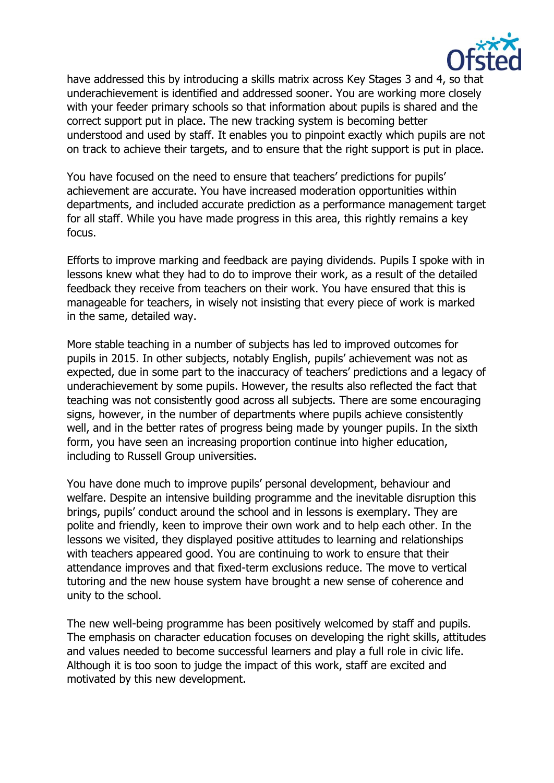

have addressed this by introducing a skills matrix across Key Stages 3 and 4, so that underachievement is identified and addressed sooner. You are working more closely with your feeder primary schools so that information about pupils is shared and the correct support put in place. The new tracking system is becoming better understood and used by staff. It enables you to pinpoint exactly which pupils are not on track to achieve their targets, and to ensure that the right support is put in place.

You have focused on the need to ensure that teachers' predictions for pupils' achievement are accurate. You have increased moderation opportunities within departments, and included accurate prediction as a performance management target for all staff. While you have made progress in this area, this rightly remains a key focus.

Efforts to improve marking and feedback are paying dividends. Pupils I spoke with in lessons knew what they had to do to improve their work, as a result of the detailed feedback they receive from teachers on their work. You have ensured that this is manageable for teachers, in wisely not insisting that every piece of work is marked in the same, detailed way.

More stable teaching in a number of subjects has led to improved outcomes for pupils in 2015. In other subjects, notably English, pupils' achievement was not as expected, due in some part to the inaccuracy of teachers' predictions and a legacy of underachievement by some pupils. However, the results also reflected the fact that teaching was not consistently good across all subjects. There are some encouraging signs, however, in the number of departments where pupils achieve consistently well, and in the better rates of progress being made by younger pupils. In the sixth form, you have seen an increasing proportion continue into higher education, including to Russell Group universities.

You have done much to improve pupils' personal development, behaviour and welfare. Despite an intensive building programme and the inevitable disruption this brings, pupils' conduct around the school and in lessons is exemplary. They are polite and friendly, keen to improve their own work and to help each other. In the lessons we visited, they displayed positive attitudes to learning and relationships with teachers appeared good. You are continuing to work to ensure that their attendance improves and that fixed-term exclusions reduce. The move to vertical tutoring and the new house system have brought a new sense of coherence and unity to the school.

The new well-being programme has been positively welcomed by staff and pupils. The emphasis on character education focuses on developing the right skills, attitudes and values needed to become successful learners and play a full role in civic life. Although it is too soon to judge the impact of this work, staff are excited and motivated by this new development.